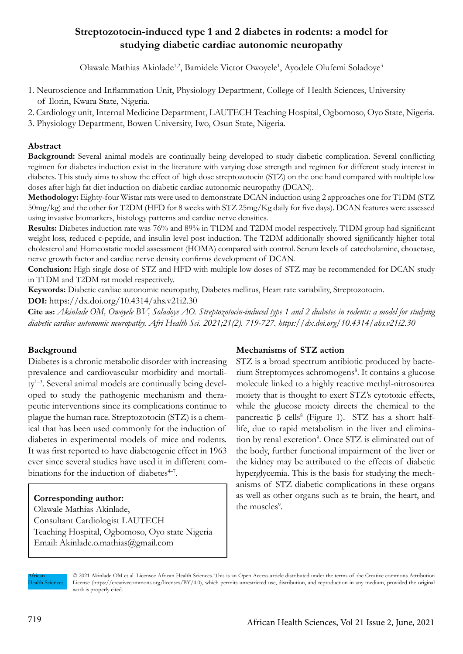# **Streptozotocin-induced type 1 and 2 diabetes in rodents: a model for studying diabetic cardiac autonomic neuropathy**

Olawale Mathias Akinlade<sup>1,2</sup>, Bamidele Victor Owoyele<sup>1</sup>, Ayodele Olufemi Soladoye<sup>3</sup>

- 1. Neuroscience and Inflammation Unit, Physiology Department, College of Health Sciences, University of Ilorin, Kwara State, Nigeria.
- 2. Cardiology unit, Internal Medicine Department, LAUTECH Teaching Hospital, Ogbomoso, Oyo State, Nigeria.
- 3. Physiology Department, Bowen University, Iwo, Osun State, Nigeria.

## **Abstract**

**Background:** Several animal models are continually being developed to study diabetic complication. Several conflicting regimen for diabetes induction exist in the literature with varying dose strength and regimen for different study interest in diabetes. This study aims to show the effect of high dose streptozotocin (STZ) on the one hand compared with multiple low doses after high fat diet induction on diabetic cardiac autonomic neuropathy (DCAN).

**Methodology:** Eighty-four Wistar rats were used to demonstrate DCAN induction using 2 approaches one for T1DM (STZ 50mg/kg) and the other for T2DM (HFD for 8 weeks with STZ 25mg/Kg daily for five days). DCAN features were assessed using invasive biomarkers, histology patterns and cardiac nerve densities.

**Results:** Diabetes induction rate was 76% and 89% in T1DM and T2DM model respectively. T1DM group had significant weight loss, reduced c-peptide, and insulin level post induction. The T2DM additionally showed significantly higher total cholesterol and Homeostatic model assessment (HOMA) compared with control. Serum levels of catecholamine, choactase, nerve growth factor and cardiac nerve density confirms development of DCAN.

**Conclusion:** High single dose of STZ and HFD with multiple low doses of STZ may be recommended for DCAN study in T1DM and T2DM rat model respectively.

**Keywords:** Diabetic cardiac autonomic neuropathy, Diabetes mellitus, Heart rate variability, Streptozotocin.

**DOI:** https://dx.doi.org/10.4314/ahs.v21i2.30

**Cite as:** *Akinlade OM, Owoyele BV, Soladoye AO. Streptozotocin-induced type 1 and 2 diabetes in rodents: a model for studying diabetic cardiac autonomic neuropathy. Afri Health Sci. 2021;21(2). 719-727. https://dx.doi.org/10.4314/ahs.v21i2.30*

## **Background**

Diabetes is a chronic metabolic disorder with increasing prevalence and cardiovascular morbidity and mortality1–3. Several animal models are continually being developed to study the pathogenic mechanism and therapeutic interventions since its complications continue to plague the human race. Streptozotocin (STZ) is a chemical that has been used commonly for the induction of diabetes in experimental models of mice and rodents. It was first reported to have diabetogenic effect in 1963 ever since several studies have used it in different combinations for the induction of diabetes $4-7$ .

## **Corresponding author:**

Olawale Mathias Akinlade, Consultant Cardiologist LAUTECH Teaching Hospital, Ogbomoso, Oyo state Nigeria Email: Akinlade.o.mathias@gmail.com

## **Mechanisms of STZ action**

STZ is a broad spectrum antibiotic produced by bacterium Streptomyces achromogens<sup>8</sup>. It contains a glucose molecule linked to a highly reactive methyl-nitrosourea moiety that is thought to exert STZ's cytotoxic effects, while the glucose moiety directs the chemical to the pancreatic β cells<sup>8</sup> (Figure 1). STZ has a short halflife, due to rapid metabolism in the liver and elimination by renal excretion<sup>9</sup>. Once STZ is eliminated out of the body, further functional impairment of the liver or the kidney may be attributed to the effects of diabetic hyperglycemia. This is the basis for studying the mechanisms of STZ diabetic complications in these organs as well as other organs such as te brain, the heart, and the muscles<sup>9</sup>.

African **Health Sciences**  © 2021 Akinlade OM et al. Licensee African Health Sciences. This is an Open Access article distributed under the terms of the Creative commons Attribution License (https://creativecommons.org/licenses/BY/4.0), which permits unrestricted use, distribution, and reproduction in any medium, provided the original work is properly cited.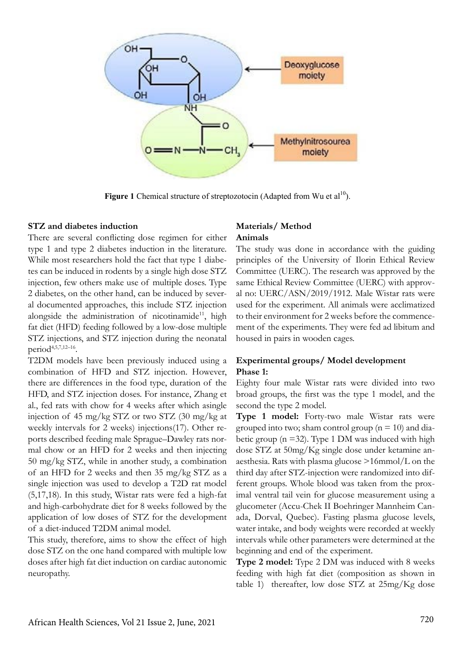

**Figure 1** Chemical structure of streptozotocin (Adapted from Wu et  $al^{10}$ ).

#### **STZ and diabetes induction**

There are several conflicting dose regimen for either type 1 and type 2 diabetes induction in the literature. While most researchers hold the fact that type 1 diabetes can be induced in rodents by a single high dose STZ injection, few others make use of multiple doses. Type 2 diabetes, on the other hand, can be induced by several documented approaches, this include STZ injection alongside the administration of nicotinamide<sup>11</sup>, high fat diet (HFD) feeding followed by a low-dose multiple STZ injections, and STZ injection during the neonatal period4,5,7,12–16.

T2DM models have been previously induced using a combination of HFD and STZ injection. However, there are differences in the food type, duration of the HFD, and STZ injection doses. For instance, Zhang et al., fed rats with chow for 4 weeks after which asingle injection of 45 mg/kg STZ or two STZ (30 mg/kg at weekly intervals for 2 weeks) injections(17). Other reports described feeding male Sprague–Dawley rats normal chow or an HFD for 2 weeks and then injecting 50 mg/kg STZ, while in another study, a combination of an HFD for 2 weeks and then 35 mg/kg STZ as a single injection was used to develop a T2D rat model (5,17,18). In this study, Wistar rats were fed a high-fat and high-carbohydrate diet for 8 weeks followed by the application of low doses of STZ for the development of a diet-induced T2DM animal model.

This study, therefore, aims to show the effect of high dose STZ on the one hand compared with multiple low doses after high fat diet induction on cardiac autonomic neuropathy.

## **Materials/ Method Animals**

The study was done in accordance with the guiding principles of the University of Ilorin Ethical Review Committee (UERC). The research was approved by the same Ethical Review Committee (UERC) with approval no: UERC/ASN/2019/1912. Male Wistar rats were used for the experiment. All animals were acclimatized to their environment for 2 weeks before the commencement of the experiments. They were fed ad libitum and housed in pairs in wooden cages.

## **Experimental groups/ Model development Phase 1:**

Eighty four male Wistar rats were divided into two broad groups, the first was the type 1 model, and the second the type 2 model.

**Type 1 model:** Forty-two male Wistar rats were grouped into two; sham control group ( $n = 10$ ) and diabetic group ( $n = 32$ ). Type 1 DM was induced with high dose STZ at 50mg/Kg single dose under ketamine anaesthesia. Rats with plasma glucose >16mmol/L on the third day after STZ-injection were randomized into different groups. Whole blood was taken from the proximal ventral tail vein for glucose measurement using a glucometer (Accu-Chek II Boehringer Mannheim Canada, Dorval, Quebec). Fasting plasma glucose levels, water intake, and body weights were recorded at weekly intervals while other parameters were determined at the beginning and end of the experiment.

**Type 2 model:** Type 2 DM was induced with 8 weeks feeding with high fat diet (composition as shown in table 1) thereafter, low dose STZ at 25mg/Kg dose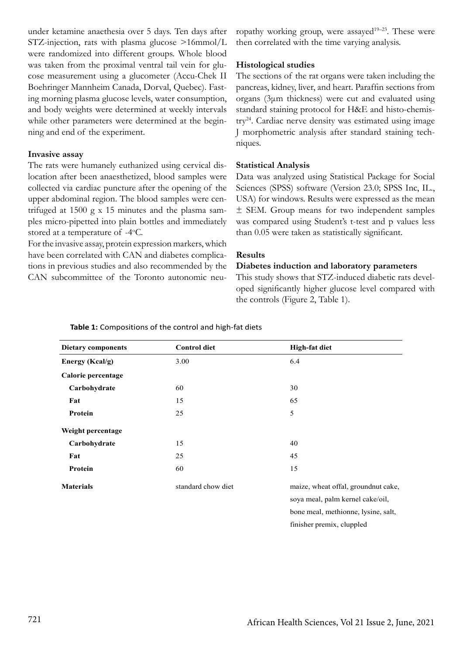under ketamine anaethesia over 5 days. Ten days after STZ-injection, rats with plasma glucose >16mmol/L were randomized into different groups. Whole blood was taken from the proximal ventral tail vein for glucose measurement using a glucometer (Accu-Chek II Boehringer Mannheim Canada, Dorval, Quebec). Fasting morning plasma glucose levels, water consumption, and body weights were determined at weekly intervals while other parameters were determined at the beginning and end of the experiment.

#### **Invasive assay**

The rats were humanely euthanized using cervical dislocation after been anaesthetized, blood samples were collected via cardiac puncture after the opening of the upper abdominal region. The blood samples were centrifuged at 1500 g x 15 minutes and the plasma samples micro-pipetted into plain bottles and immediately stored at a temperature of -4°C.

For the invasive assay, protein expression markers, which have been correlated with CAN and diabetes complications in previous studies and also recommended by the CAN subcommittee of the Toronto autonomic neuropathy working group, were assayed<sup>19–23</sup>. These were then correlated with the time varying analysis.

#### **Histological studies**

The sections of the rat organs were taken including the pancreas, kidney, liver, and heart. Paraffin sections from organs (3μm thickness) were cut and evaluated using standard staining protocol for H&E and histo-chemistry24. Cardiac nerve density was estimated using image J morphometric analysis after standard staining techniques.

#### **Statistical Analysis**

Data was analyzed using Statistical Package for Social Sciences (SPSS) software (Version 23.0; SPSS Inc, IL., USA) for windows. Results were expressed as the mean ± SEM. Group means for two independent samples was compared using Student's t-test and p values less than 0.05 were taken as statistically significant.

#### **Results**

#### **Diabetes induction and laboratory parameters**

This study shows that STZ-induced diabetic rats developed significantly higher glucose level compared with the controls (Figure 2, Table 1).

| <b>Dietary components</b> | <b>Control diet</b> | <b>High-fat diet</b>                |
|---------------------------|---------------------|-------------------------------------|
| Energy (Kcal/g)           | 3.00                | 6.4                                 |
| Calorie percentage        |                     |                                     |
| Carbohydrate              | 60                  | 30                                  |
| Fat                       | 15                  | 65                                  |
| Protein                   | 25                  | 5                                   |
| Weight percentage         |                     |                                     |
| Carbohydrate              | 15                  | 40                                  |
| Fat                       | 25                  | 45                                  |
| Protein                   | 60                  | 15                                  |
| <b>Materials</b>          | standard chow diet  | maize, wheat offal, groundnut cake, |
|                           |                     | soya meal, palm kernel cake/oil,    |
|                           |                     | bone meal, methionne, lysine, salt, |

**Table 1:** Compositions of the control and high-fat diets

finisher premix, cluppled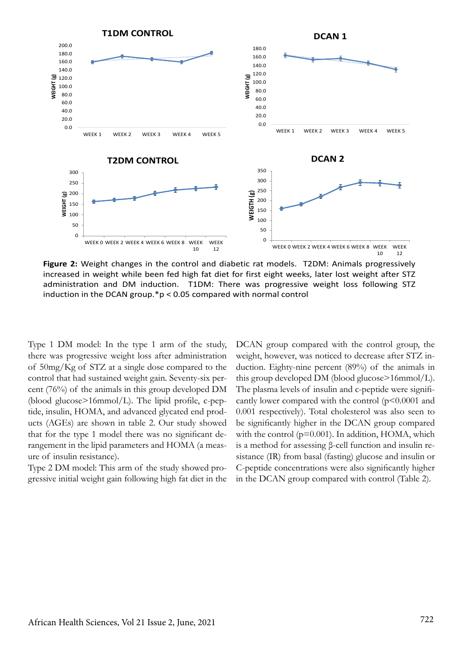

**Figure 2:** Weight changes in the control and diabetic rat models. T2DM: Animals progressively increased in weight while been fed high fat diet for first eight weeks, later lost weight after STZ administration and DM induction. T1DM: There was progressive weight loss following STZ induction in the DCAN group.\*p < 0.05 compared with normal control

Type 1 DM model: In the type 1 arm of the study, there was progressive weight loss after administration of 50mg/Kg of STZ at a single dose compared to the control that had sustained weight gain. Seventy-six percent (76%) of the animals in this group developed DM (blood glucose>16mmol/L). The lipid profile, c-peptide, insulin, HOMA, and advanced glycated end products (AGEs) are shown in table 2. Our study showed that for the type 1 model there was no significant derangement in the lipid parameters and HOMA (a measure of insulin resistance).

Type 2 DM model: This arm of the study showed progressive initial weight gain following high fat diet in the DCAN group compared with the control group, the weight, however, was noticed to decrease after STZ induction. Eighty-nine percent (89%) of the animals in this group developed DM (blood glucose>16mmol/L). The plasma levels of insulin and c-peptide were significantly lower compared with the control  $(p<0.0001$  and 0.001 respectively). Total cholesterol was also seen to be significantly higher in the DCAN group compared with the control ( $p=0.001$ ). In addition, HOMA, which is a method for assessing β-cell function and insulin resistance (IR) from basal (fasting) glucose and insulin or C-peptide concentrations were also significantly higher in the DCAN group compared with control (Table 2).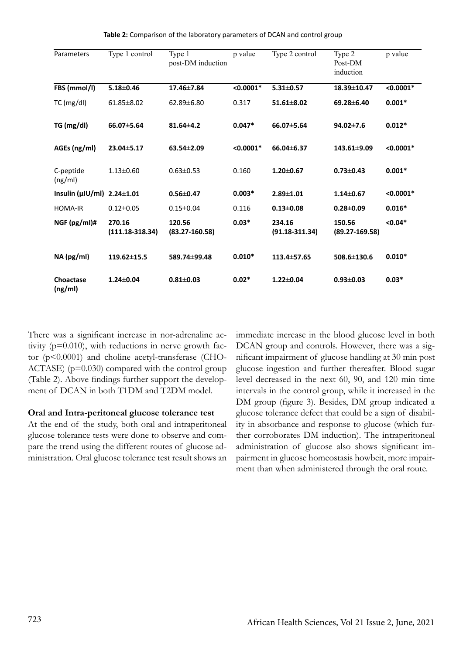| Parameters            | Type 1 control              | Type 1<br>post-DM induction  | p value     | Type 2 control               | Type 2<br>Post-DM<br>induction | p value     |
|-----------------------|-----------------------------|------------------------------|-------------|------------------------------|--------------------------------|-------------|
| FBS (mmol/l)          | $5.18 \pm 0.46$             | 17.46±7.84                   | $< 0.0001*$ | $5.31 \pm 0.57$              | 18.39±10.47                    | $< 0.0001*$ |
| $TC$ (mg/dl)          | $61.85 \pm 8.02$            | 62.89±6.80                   | 0.317       | $51.61 \pm 8.02$             | 69.28±6.40                     | $0.001*$    |
| TG (mg/dl)            | 66.07±5.64                  | $81.64 \pm 4.2$              | $0.047*$    | 66.07±5.64                   | 94.02±7.6                      | $0.012*$    |
| AGEs (ng/ml)          | 23.04±5.17                  | $63.54 \pm 2.09$             | $< 0.0001*$ | 66.04±6.37                   | 143.61±9.09                    | $< 0.0001*$ |
| C-peptide<br>(ng/ml)  | $1.13 \pm 0.60$             | $0.63 \pm 0.53$              | 0.160       | $1.20 \pm 0.67$              | $0.73 \pm 0.43$                | $0.001*$    |
| Insulin $(\mu  U/m )$ | $2.24 \pm 1.01$             | $0.56 \pm 0.47$              | $0.003*$    | $2.89 \pm 1.01$              | $1.14 \pm 0.67$                | $< 0.0001*$ |
| <b>HOMA-IR</b>        | $0.12 \pm 0.05$             | $0.15 \pm 0.04$              | 0.116       | $0.13 \pm 0.08$              | $0.28 + 0.09$                  | $0.016*$    |
| NGF (pg/ml)#          | 270.16<br>$(111.18-318.34)$ | 120.56<br>$(83.27 - 160.58)$ | $0.03*$     | 234.16<br>$(91.18 - 311.34)$ | 150.56<br>$(89.27 - 169.58)$   | $< 0.04*$   |
| NA (pg/ml)            | 119.62±15.5                 | 589.74±99.48                 | $0.010*$    | 113.4±57.65                  | 508.6±130.6                    | $0.010*$    |
| Choactase<br>(ng/ml)  | $1.24 \pm 0.04$             | $0.81 \pm 0.03$              | $0.02*$     | $1.22 \pm 0.04$              | $0.93 \pm 0.03$                | $0.03*$     |

**Table 2:** Comparison of the laboratory parameters of DCAN and control group

There was a significant increase in nor-adrenaline activity  $(p=0.010)$ , with reductions in nerve growth factor (p<0.0001) and choline acetyl-transferase (CHO-ACTASE)  $(p=0.030)$  compared with the control group (Table 2). Above findings further support the development of DCAN in both T1DM and T2DM model.

### **Oral and Intra-peritoneal glucose tolerance test**

At the end of the study, both oral and intraperitoneal glucose tolerance tests were done to observe and compare the trend using the different routes of glucose administration. Oral glucose tolerance test result shows an

immediate increase in the blood glucose level in both DCAN group and controls. However, there was a significant impairment of glucose handling at 30 min post glucose ingestion and further thereafter. Blood sugar level decreased in the next 60, 90, and 120 min time intervals in the control group, while it increased in the DM group (figure 3). Besides, DM group indicated a glucose tolerance defect that could be a sign of disability in absorbance and response to glucose (which further corroborates DM induction). The intraperitoneal administration of glucose also shows significant impairment in glucose homeostasis howbeit, more impairment than when administered through the oral route.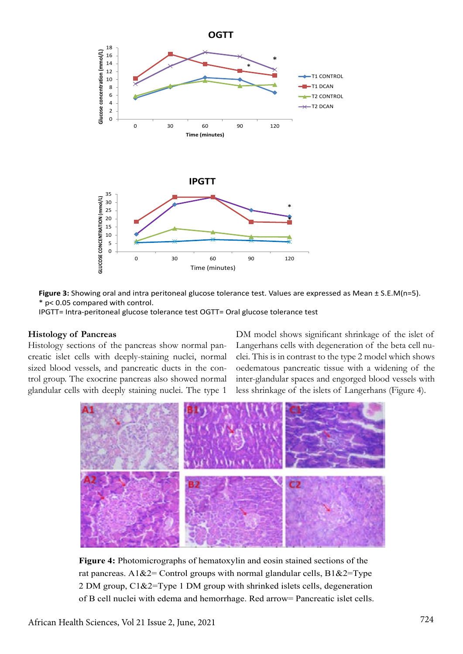

**Figure 3:** Showing oral and intra peritoneal glucose tolerance test. Values are expressed as Mean ± S.E.M(n=5). \* p< 0.05 compared with control.

IPGTT= Intra-peritoneal glucose tolerance test OGTT= Oral glucose tolerance test

#### **Histology of Pancreas**

Histology sections of the pancreas show normal pancreatic islet cells with deeply-staining nuclei, normal sized blood vessels, and pancreatic ducts in the control group. The exocrine pancreas also showed normal glandular cells with deeply staining nuclei. The type 1

DM model shows significant shrinkage of the islet of Langerhans cells with degeneration of the beta cell nuclei. This is in contrast to the type 2 model which shows oedematous pancreatic tissue with a widening of the inter-glandular spaces and engorged blood vessels with less shrinkage of the islets of Langerhans (Figure 4).



**Figure 4:** Photomicrographs of hematoxylin and eosin stained sections of the rat pancreas. A1&2= Control groups with normal glandular cells,  $B1&2=Type$ 2 DM group, C1&2=Type 1 DM group with shrinked islets cells, degeneration of B cell nuclei with edema and hemorrhage. Red arrow= Pancreatic islet cells.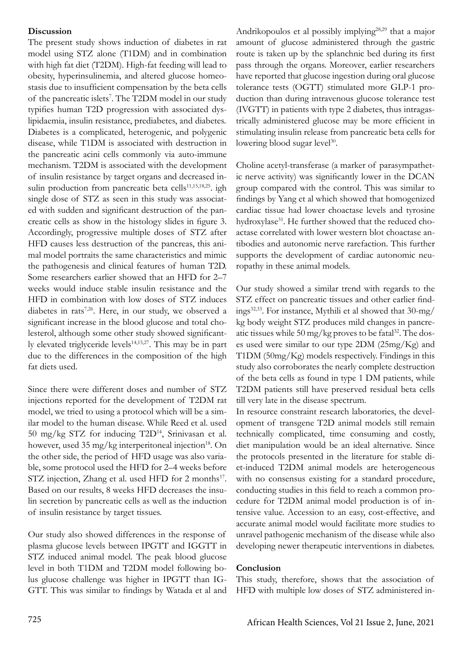## **Discussion**

The present study shows induction of diabetes in rat model using STZ alone (T1DM) and in combination with high fat diet (T2DM). High-fat feeding will lead to obesity, hyperinsulinemia, and altered glucose homeostasis due to insufficient compensation by the beta cells of the pancreatic islets<sup>7</sup>. The T2DM model in our study typifies human T2D progression with associated dyslipidaemia, insulin resistance, prediabetes, and diabetes. Diabetes is a complicated, heterogenic, and polygenic disease, while T1DM is associated with destruction in the pancreatic acini cells commonly via auto-immune mechanism. T2DM is associated with the development of insulin resistance by target organs and decreased insulin production from pancreatic beta cells $11,15,18,25$ . igh single dose of STZ as seen in this study was associated with sudden and significant destruction of the pancreatic cells as show in the histology slides in figure 3. Accordingly, progressive multiple doses of STZ after HFD causes less destruction of the pancreas, this animal model portraits the same characteristics and mimic the pathogenesis and clinical features of human T2D. Some researchers earlier showed that an HFD for 2–7 weeks would induce stable insulin resistance and the HFD in combination with low doses of STZ induces diabetes in rats<sup>7,26</sup>. Here, in our study, we observed a significant increase in the blood glucose and total cholesterol, although some other study showed significantly elevated triglyceride levels $14,15,27$ . This may be in part due to the differences in the composition of the high fat diets used.

Since there were different doses and number of STZ injections reported for the development of T2DM rat model, we tried to using a protocol which will be a similar model to the human disease. While Reed et al. used 50 mg/kg STZ for inducing  $T2D^{14}$ , Srinivasan et al. however, used 35 mg/kg interperitoneal injection<sup>18</sup>. On the other side, the period of HFD usage was also variable, some protocol used the HFD for 2–4 weeks before STZ injection, Zhang et al. used HFD for 2 months<sup>17</sup>. Based on our results, 8 weeks HFD decreases the insulin secretion by pancreatic cells as well as the induction of insulin resistance by target tissues.

Our study also showed differences in the response of plasma glucose levels between IPGTT and IGGTT in STZ induced animal model. The peak blood glucose level in both T1DM and T2DM model following bolus glucose challenge was higher in IPGTT than IG-GTT. This was similar to findings by Watada et al and

Andrikopoulos et al possibly implying28,29 that a major amount of glucose administered through the gastric route is taken up by the splanchnic bed during its first pass through the organs. Moreover, earlier researchers have reported that glucose ingestion during oral glucose tolerance tests (OGTT) stimulated more GLP-1 production than during intravenous glucose tolerance test (IVGTT) in patients with type 2 diabetes, thus intragastrically administered glucose may be more efficient in stimulating insulin release from pancreatic beta cells for lowering blood sugar level<sup>30</sup>.

Choline acetyl-transferase (a marker of parasympathetic nerve activity) was significantly lower in the DCAN group compared with the control. This was similar to findings by Yang et al which showed that homogenized cardiac tissue had lower choactase levels and tyrosine hydroxylase<sup>31</sup>. He further showed that the reduced choactase correlated with lower western blot choactase antibodies and autonomic nerve rarefaction. This further supports the development of cardiac autonomic neuropathy in these animal models.

Our study showed a similar trend with regards to the STZ effect on pancreatic tissues and other earlier findings<sup>32,33</sup>. For instance, Mythili et al showed that  $30$ -mg/ kg body weight STZ produces mild changes in pancreatic tissues while  $50 \,\text{mg/kg}$  proves to be fatal<sup>32</sup>. The doses used were similar to our type 2DM (25mg/Kg) and T1DM (50mg/Kg) models respectively. Findings in this study also corroborates the nearly complete destruction of the beta cells as found in type 1 DM patients, while T2DM patients still have preserved residual beta cells till very late in the disease spectrum.

In resource constraint research laboratories, the development of transgene T2D animal models still remain technically complicated, time consuming and costly, diet manipulation would be an ideal alternative. Since the protocols presented in the literature for stable diet-induced T2DM animal models are heterogeneous with no consensus existing for a standard procedure, conducting studies in this field to reach a common procedure for T2DM animal model production is of intensive value. Accession to an easy, cost-effective, and accurate animal model would facilitate more studies to unravel pathogenic mechanism of the disease while also developing newer therapeutic interventions in diabetes.

#### **Conclusion**

This study, therefore, shows that the association of HFD with multiple low doses of STZ administered in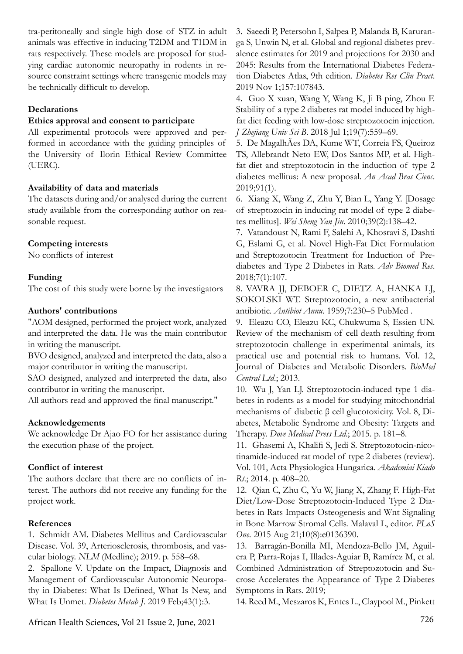tra-peritoneally and single high dose of STZ in adult animals was effective in inducing T2DM and T1DM in rats respectively. These models are proposed for studying cardiac autonomic neuropathy in rodents in resource constraint settings where transgenic models may be technically difficult to develop.

## **Declarations**

## **Ethics approval and consent to participate**

All experimental protocols were approved and performed in accordance with the guiding principles of the University of Ilorin Ethical Review Committee (UERC).

## **Availability of data and materials**

The datasets during and/or analysed during the current study available from the corresponding author on reasonable request.

## **Competing interests**

No conflicts of interest

## **Funding**

The cost of this study were borne by the investigators

## **Authors' contributions**

"AOM designed, performed the project work, analyzed and interpreted the data. He was the main contributor in writing the manuscript.

BVO designed, analyzed and interpreted the data, also a major contributor in writing the manuscript.

SAO designed, analyzed and interpreted the data, also contributor in writing the manuscript.

All authors read and approved the final manuscript."

## **Acknowledgements**

We acknowledge Dr Ajao FO for her assistance during the execution phase of the project.

## **Conflict of interest**

The authors declare that there are no conflicts of interest. The authors did not receive any funding for the project work.

## **References**

1. Schmidt AM. Diabetes Mellitus and Cardiovascular Disease. Vol. 39, Arteriosclerosis, thrombosis, and vascular biology. *NLM* (Medline); 2019. p. 558–68.

2. Spallone V. Update on the Impact, Diagnosis and Management of Cardiovascular Autonomic Neuropathy in Diabetes: What Is Defined, What Is New, and What Is Unmet. *Diabetes Metab J*. 2019 Feb;43(1):3.

3. Saeedi P, Petersohn I, Salpea P, Malanda B, Karuranga S, Unwin N, et al. Global and regional diabetes prevalence estimates for 2019 and projections for 2030 and 2045: Results from the International Diabetes Federation Diabetes Atlas, 9th edition. *Diabetes Res Clin Pract*. 2019 Nov 1;157:107843.

4. Guo X xuan, Wang Y, Wang K, Ji B ping, Zhou F. Stability of a type 2 diabetes rat model induced by highfat diet feeding with low-dose streptozotocin injection. *J Zhejiang Univ Sci B*. 2018 Jul 1;19(7):559–69.

5. De MagalhÃes DA, Kume WT, Correia FS, Queiroz TS, Allebrandt Neto EW, Dos Santos MP, et al. Highfat diet and streptozotocin in the induction of type 2 diabetes mellitus: A new proposal. *An Acad Bras Cienc*. 2019;91(1).

6. Xiang X, Wang Z, Zhu Y, Bian L, Yang Y. [Dosage of streptozocin in inducing rat model of type 2 diabetes mellitus]. *Wei Sheng Yan Jiu*. 2010;39(2):138–42.

7. Vatandoust N, Rami F, Salehi A, Khosravi S, Dashti G, Eslami G, et al. Novel High-Fat Diet Formulation and Streptozotocin Treatment for Induction of Prediabetes and Type 2 Diabetes in Rats. *Adv Biomed Res*. 2018;7(1):107.

8. VAVRA JJ, DEBOER C, DIETZ A, HANKA LJ, SOKOLSKI WT. Streptozotocin, a new antibacterial antibiotic. *Antibiot Annu*. 1959;7:230–5 PubMed .

9. Eleazu CO, Eleazu KC, Chukwuma S, Essien UN. Review of the mechanism of cell death resulting from streptozotocin challenge in experimental animals, its practical use and potential risk to humans. Vol. 12, Journal of Diabetes and Metabolic Disorders. *BioMed Central Ltd*.; 2013.

10. Wu J, Yan LJ. Streptozotocin-induced type 1 diabetes in rodents as a model for studying mitochondrial mechanisms of diabetic β cell glucotoxicity. Vol. 8, Diabetes, Metabolic Syndrome and Obesity: Targets and Therapy. *Dove Medical Press Ltd*.; 2015. p. 181–8.

11. Ghasemi A, Khalifi S, Jedi S. Streptozotocin-nicotinamide-induced rat model of type 2 diabetes (review). Vol. 101, Acta Physiologica Hungarica. *Akademiai Kiado Rt*.; 2014. p. 408–20.

12. Qian C, Zhu C, Yu W, Jiang X, Zhang F. High-Fat Diet/Low-Dose Streptozotocin-Induced Type 2 Diabetes in Rats Impacts Osteogenesis and Wnt Signaling in Bone Marrow Stromal Cells. Malaval L, editor. *PLoS One*. 2015 Aug 21;10(8):e0136390.

13. Barragán-Bonilla MI, Mendoza-Bello JM, Aguilera P, Parra-Rojas I, Illades-Aguiar B, Ramírez M, et al. Combined Administration of Streptozotocin and Sucrose Accelerates the Appearance of Type 2 Diabetes Symptoms in Rats. 2019;

14. Reed M., Meszaros K, Entes L., Claypool M., Pinkett